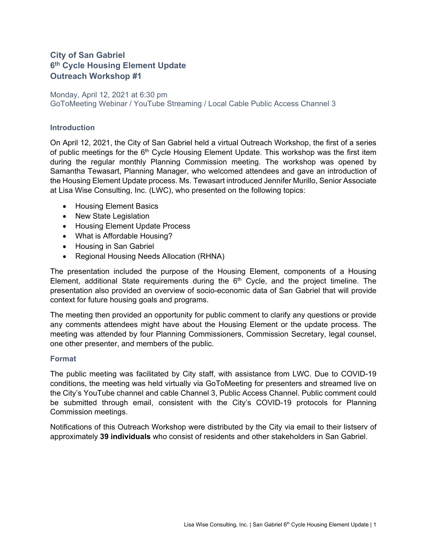# **City of San Gabriel 6th Cycle Housing Element Update Outreach Workshop #1**

## Monday, April 12, 2021 at 6:30 pm GoToMeeting Webinar / YouTube Streaming / Local Cable Public Access Channel 3

### **Introduction**

On April 12, 2021, the City of San Gabriel held a virtual Outreach Workshop, the first of a series of public meetings for the  $6<sup>th</sup>$  Cycle Housing Element Update. This workshop was the first item during the regular monthly Planning Commission meeting. The workshop was opened by Samantha Tewasart, Planning Manager, who welcomed attendees and gave an introduction of the Housing Element Update process. Ms. Tewasart introduced Jennifer Murillo, Senior Associate at Lisa Wise Consulting, Inc. (LWC), who presented on the following topics:

- Housing Element Basics
- New State Legislation
- Housing Element Update Process
- What is Affordable Housing?
- Housing in San Gabriel
- Regional Housing Needs Allocation (RHNA)

The presentation included the purpose of the Housing Element, components of a Housing Element, additional State requirements during the  $6<sup>th</sup>$  Cycle, and the project timeline. The presentation also provided an overview of socio-economic data of San Gabriel that will provide context for future housing goals and programs.

The meeting then provided an opportunity for public comment to clarify any questions or provide any comments attendees might have about the Housing Element or the update process. The meeting was attended by four Planning Commissioners, Commission Secretary, legal counsel, one other presenter, and members of the public.

### **Format**

The public meeting was facilitated by City staff, with assistance from LWC. Due to COVID-19 conditions, the meeting was held virtually via GoToMeeting for presenters and streamed live on the City's YouTube channel and cable Channel 3, Public Access Channel. Public comment could be submitted through email, consistent with the City's COVID-19 protocols for Planning Commission meetings.

Notifications of this Outreach Workshop were distributed by the City via email to their listserv of approximately **39 individuals** who consist of residents and other stakeholders in San Gabriel.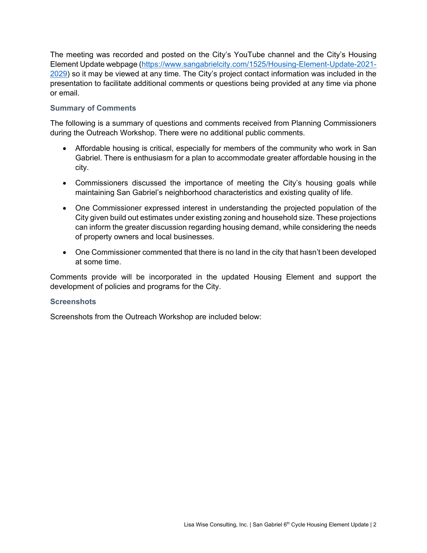The meeting was recorded and posted on the City's YouTube channel and the City's Housing Element Update webpage [\(https://www.sangabrielcity.com/1525/Housing-Element-Update-2021-](https://www.sangabrielcity.com/1525/Housing-Element-Update-2021-2029) [2029\)](https://www.sangabrielcity.com/1525/Housing-Element-Update-2021-2029) so it may be viewed at any time. The City's project contact information was included in the presentation to facilitate additional comments or questions being provided at any time via phone or email.

## **Summary of Comments**

The following is a summary of questions and comments received from Planning Commissioners during the Outreach Workshop. There were no additional public comments.

- Affordable housing is critical, especially for members of the community who work in San Gabriel. There is enthusiasm for a plan to accommodate greater affordable housing in the city.
- Commissioners discussed the importance of meeting the City's housing goals while maintaining San Gabriel's neighborhood characteristics and existing quality of life.
- One Commissioner expressed interest in understanding the projected population of the City given build out estimates under existing zoning and household size. These projections can inform the greater discussion regarding housing demand, while considering the needs of property owners and local businesses.
- One Commissioner commented that there is no land in the city that hasn't been developed at some time.

Comments provide will be incorporated in the updated Housing Element and support the development of policies and programs for the City.

#### **Screenshots**

Screenshots from the Outreach Workshop are included below: